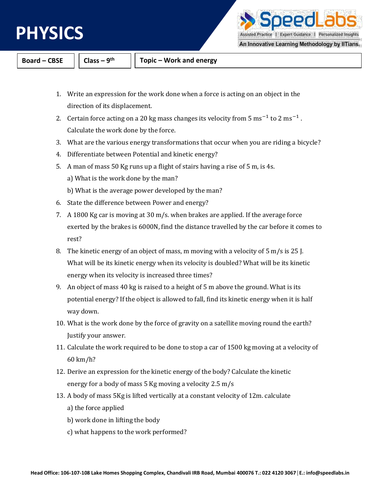

PΡI Assisted Practice | Expert Guidance | Personalized Insights

An Innovative Learning Methodology by IITians.

**Board – CBSE**  $\vert \vert$  **Class – 9<sup>th</sup>** 

- 1. Write an expression for the work done when a force is acting on an object in the direction of its displacement.
- 2. Certain force acting on a 20 kg mass changes its velocity from  $5 \text{ ms}^{-1}$  to  $2 \text{ ms}^{-1}$ . Calculate the work done by the force.
- 3. What are the various energy transformations that occur when you are riding a bicycle?
- 4. Differentiate between Potential and kinetic energy?
- 5. A man of mass 50 Kg runs up a flight of stairs having a rise of 5 m, is 4s. a) What is the work done by the man?
	- b) What is the average power developed by the man?
- 6. State the difference between Power and energy?
- 7. A 1800 Kg car is moving at 30 m/s. when brakes are applied. If the average force exerted by the brakes is 6000N, find the distance travelled by the car before it comes to rest?
- 8. The kinetic energy of an object of mass, m moving with a velocity of 5 m/s is 25 J. What will be its kinetic energy when its velocity is doubled? What will be its kinetic energy when its velocity is increased three times?
- 9. An object of mass 40 kg is raised to a height of 5 m above the ground. What is its potential energy? If the object is allowed to fall, find its kinetic energy when it is half way down.
- 10. What is the work done by the force of gravity on a satellite moving round the earth? Justify your answer.
- 11. Calculate the work required to be done to stop a car of 1500 kg moving at a velocity of 60 km/h?
- 12. Derive an expression for the kinetic energy of the body? Calculate the kinetic energy for a body of mass 5 Kg moving a velocity 2.5 m/s
- 13. A body of mass 5Kg is lifted vertically at a constant velocity of 12m. calculate a) the force applied
	- b) work done in lifting the body
	- c) what happens to the work performed?